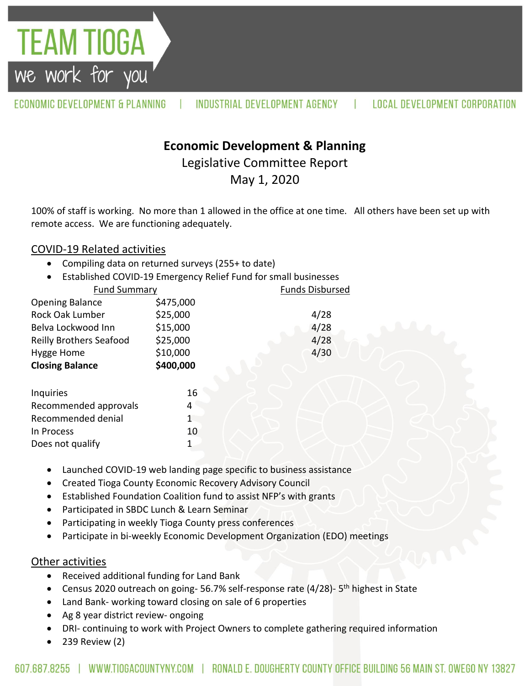ECONOMIC DEVELOPMENT & PLANNING INDUSTRIAL DEVELOPMENT AGENCY **LOCAL DEVELOPMENT CORPORATION** 

## **Economic Development & Planning**

Legislative Committee Report

May 1, 2020

100% of staff is working. No more than 1 allowed in the office at one time. All others have been set up with remote access. We are functioning adequately.

## COVID-19 Related activities

TEAM TIOGA

we work for you

- Compiling data on returned surveys (255+ to date)
- Established COVID-19 Emergency Relief Fund for small businesses

| <b>Fund Summary</b>            |           | <b>Funds Disbursed</b> |
|--------------------------------|-----------|------------------------|
| <b>Opening Balance</b>         | \$475,000 |                        |
| Rock Oak Lumber                | \$25,000  | 4/28                   |
| Belva Lockwood Inn             | \$15,000  | 4/28                   |
| <b>Reilly Brothers Seafood</b> | \$25,000  | 4/28                   |
| Hygge Home                     | \$10,000  | 4/30                   |
| <b>Closing Balance</b>         | \$400,000 |                        |
|                                |           |                        |
| <b>Inquiries</b>               | 16        |                        |
| Recommended approvals          | 4         |                        |
| Recommended denial             | 1         |                        |
| In Process                     | 10        |                        |
| Does not qualify               |           |                        |
|                                |           |                        |

- Launched COVID-19 web landing page specific to business assistance
- Created Tioga County Economic Recovery Advisory Council
- Established Foundation Coalition fund to assist NFP's with grants
- Participated in SBDC Lunch & Learn Seminar
- Participating in weekly Tioga County press conferences
- Participate in bi-weekly Economic Development Organization (EDO) meetings

## Other activities

- Received additional funding for Land Bank
- Census 2020 outreach on going-56.7% self-response rate (4/28)-5<sup>th</sup> highest in State
- Land Bank- working toward closing on sale of 6 properties
- Ag 8 year district review- ongoing
- DRI- continuing to work with Project Owners to complete gathering required information
- 239 Review (2)